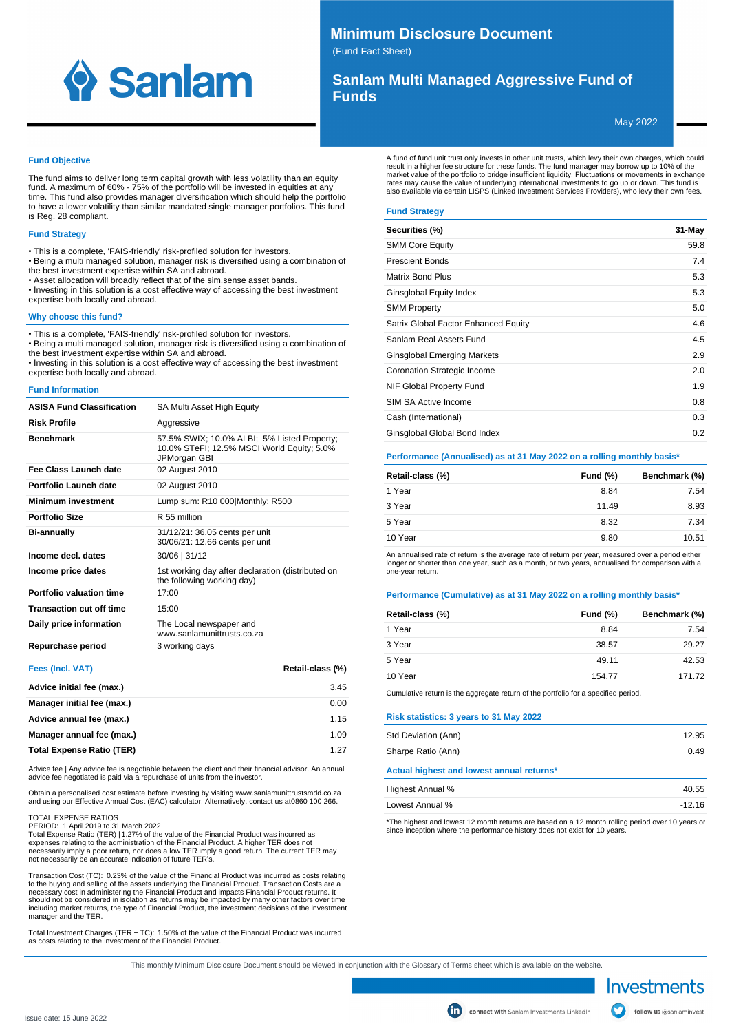

# **Minimum Disclosure Document**

(Fund Fact Sheet)

# **Sanlam Multi Managed Aggressive Fund of Funds**

May 2022

#### **Fund Objective**

The fund aims to deliver long term capital growth with less volatility than an equity fund. A maximum of 60% - 75% of the portfolio will be invested in equities at any time. This fund also provides manager diversification which should help the portfolio to have a lower volatility than similar mandated single manager portfolios. This fund is Reg. 28 compliant.

## **Fund Strategy**

- This is a complete, 'FAIS-friendly' risk-profiled solution for investors.
- Being a multi managed solution, manager risk is diversified using a combination of
- the best investment expertise within SA and abroad.
- Asset allocation will broadly reflect that of the sim.sense asset bands.
- Investing in this solution is a cost effective way of accessing the best investment expertise both locally and abroad.

#### **Why choose this fund?**

• This is a complete, 'FAIS-friendly' risk-profiled solution for investors.

• Being a multi managed solution, manager risk is diversified using a combination of the best investment expertise within SA and abroad.

• Investing in this solution is a cost effective way of accessing the best investment expertise both locally and abroad.

#### **Fund Information**

| <b>ASISA Fund Classification</b> | SA Multi Asset High Equity                                                                                |
|----------------------------------|-----------------------------------------------------------------------------------------------------------|
| <b>Risk Profile</b>              | Aggressive                                                                                                |
| <b>Benchmark</b>                 | 57.5% SWIX; 10.0% ALBI; 5% Listed Property;<br>10.0% STeFI; 12.5% MSCI World Equity; 5.0%<br>JPMorgan GBI |
| Fee Class Launch date            | 02 August 2010                                                                                            |
| Portfolio Launch date            | 02 August 2010                                                                                            |
| <b>Minimum investment</b>        | Lump sum: R10 000 Monthly: R500                                                                           |
| <b>Portfolio Size</b>            | R 55 million                                                                                              |
| <b>Bi-annually</b>               | 31/12/21: 36.05 cents per unit<br>30/06/21: 12.66 cents per unit                                          |
| Income decl. dates               | 30/06   31/12                                                                                             |
| Income price dates               | 1st working day after declaration (distributed on<br>the following working day)                           |
| Portfolio valuation time         | 17:00                                                                                                     |
| <b>Transaction cut off time</b>  | 15:00                                                                                                     |
| Daily price information          | The Local newspaper and<br>www.sanlamunittrusts.co.za                                                     |
| Repurchase period                | 3 working days                                                                                            |

| <b>Fees (Incl. VAT)</b>          | Retail-class (%) |
|----------------------------------|------------------|
| Advice initial fee (max.)        | 3.45             |
| Manager initial fee (max.)       | 0.00             |
| Advice annual fee (max.)         | 1.15             |
| Manager annual fee (max.)        | 1.09             |
| <b>Total Expense Ratio (TER)</b> | 1.27             |

Advice fee | Any advice fee is negotiable between the client and their financial advisor. An annual advice fee negotiated is paid via a repurchase of units from the investor.

Obtain a personalised cost estimate before investing by visiting www.sanlamunittrustsmdd.co.za and using our Effective Annual Cost (EAC) calculator. Alternatively, contact us at 0860 100 266.

#### TOTAL EXPENSE RATIOS

PERIOD: 1 April 2019 to 31 March 2022

Total Expense Ratio (TER) | 1.27% of the value of the Financial Product was incurred as<br>expenses relating to the administration of the Financial Product. A higher TER does not<br>necessarily imply a poor return, nor does a lo not necessarily be an accurate indication of future TER's.

Transaction Cost (TC): 0.23% of the value of the Financial Product was incurred as costs relating to the buying and selling of the assets underlying the Financial Product. Transaction Costs are a<br>necessary cost in administering the Financial Product and impacts Financial Product returns. It<br>should not be considered in including market returns, the type of Financial Product, the investment decisions of the investment manager and the TER.

Total Investment Charges (TER + TC): 1.50% of the value of the Financial Product was incurred as costs relating to the investment of the Financial Product.

A fund of fund unit trust only invests in other unit trusts, which levy their own charges, which could result in a higher fee structure for these funds. The fund manager may borrow up to 10% of the market value of the portfolio to bridge insufficient liquidity. Fluctuations or movements in exchange rates may cause the value of underlying international investments to go up or down. This fund is also available via certain LISPS (Linked Investment Services Providers), who levy their own fees.

# **Fund Strategy**

| Securities (%)                       | 31-May |
|--------------------------------------|--------|
| <b>SMM Core Equity</b>               | 59.8   |
| <b>Prescient Bonds</b>               | 7.4    |
| <b>Matrix Bond Plus</b>              | 5.3    |
| Ginsglobal Equity Index              | 5.3    |
| <b>SMM Property</b>                  | 5.0    |
| Satrix Global Factor Enhanced Equity | 4.6    |
| Sanlam Real Assets Fund              | 4.5    |
| Ginsglobal Emerging Markets          | 2.9    |
| Coronation Strategic Income          | 2.0    |
| NIF Global Property Fund             | 1.9    |
| SIM SA Active Income                 | 0.8    |
| Cash (International)                 | 0.3    |
| Ginsglobal Global Bond Index         | 0.2    |

#### **Performance (Annualised) as at 31 May 2022 on a rolling monthly basis\***

| Retail-class (%) | <b>Fund (%)</b> | Benchmark (%) |
|------------------|-----------------|---------------|
| 1 Year           | 8.84            | 7.54          |
| 3 Year           | 11.49           | 8.93          |
| 5 Year           | 8.32            | 7.34          |
| 10 Year          | 9.80            | 10.51         |

An annualised rate of return is the average rate of return per year, measured over a period either longer or shorter than one year, such as a month, or two years, annualised for comparison with a one-year return.

#### **Performance (Cumulative) as at 31 May 2022 on a rolling monthly basis\***

| Retail-class (%) | Fund $(\%)$ | Benchmark (%) |
|------------------|-------------|---------------|
| 1 Year           | 8.84        | 7.54          |
| 3 Year           | 38.57       | 29.27         |
| 5 Year           | 49.11       | 42.53         |
| 10 Year          | 154.77      | 171.72        |

Cumulative return is the aggregate return of the portfolio for a specified period.

#### **Risk statistics: 3 years to 31 May 2022**

| Std Deviation (Ann)                       | 12.95 |
|-------------------------------------------|-------|
| Sharpe Ratio (Ann)                        | 0.49  |
| Actual highest and lowest annual returns* |       |
| Highest Annual %                          | 40.55 |

| Highest Annual % | 40.55    |
|------------------|----------|
| Lowest Annual %  | $-12.16$ |

\*The highest and lowest 12 month returns are based on a 12 month rolling period over 10 years or since inception where the performance history does not exist for 10 years.

Investments follow us @sanlaminvest